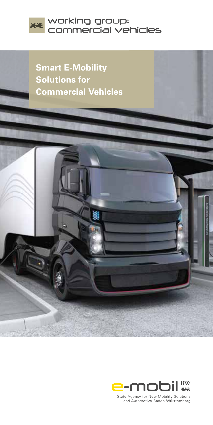

**Smart E-Mobility Solutions for Commercial Vehicles** 



State Agency for New Mobility Solutions and Automotive Baden-Württemberg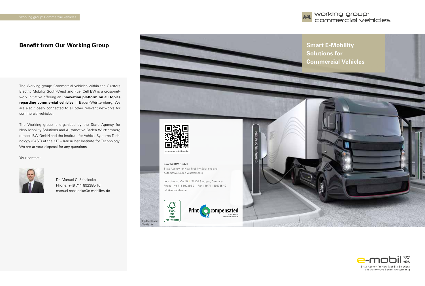

# **Benefit from Our Working Group <b>Smart E-Mobility Smart E-Mobility**

The Working group: Commercial vehicles within the Clusters Electric Mobility South-West and Fuel Cell BW is a cross-network initiative offering an **innovation platform on all topics regarding commercial vehicles** in Baden-Württemberg. We are also closely connected to all other relevant networks for commercial vehicles.

The Working group is organised by the State Agency for New Mobility Solutions and Automotive Baden-Württemberg e-mobil BW GmbH and the Institute for Vehicle Systems Technology (FAST) at the KIT – Karlsruher Institute for Technology. We are at your disposal for any questions.

Your contact:



Dr. Manuel C. Schaloske Phone: +49 711 892385-16 manuel.schaloske@e-mobilbw.de



#### **e-mobil BW GmbH** State Agency for New Mobility Solutions and Automotive Baden-Württemberg

Leuschnerstraße 45 I 70176 Stuttgart, Germany Phone +49 711 892385-0 I Fax +49 711 892385-49 info@e-mobilbw.de





**CHARGING STATION** 

# **Solutions for Commercial Vehicles**